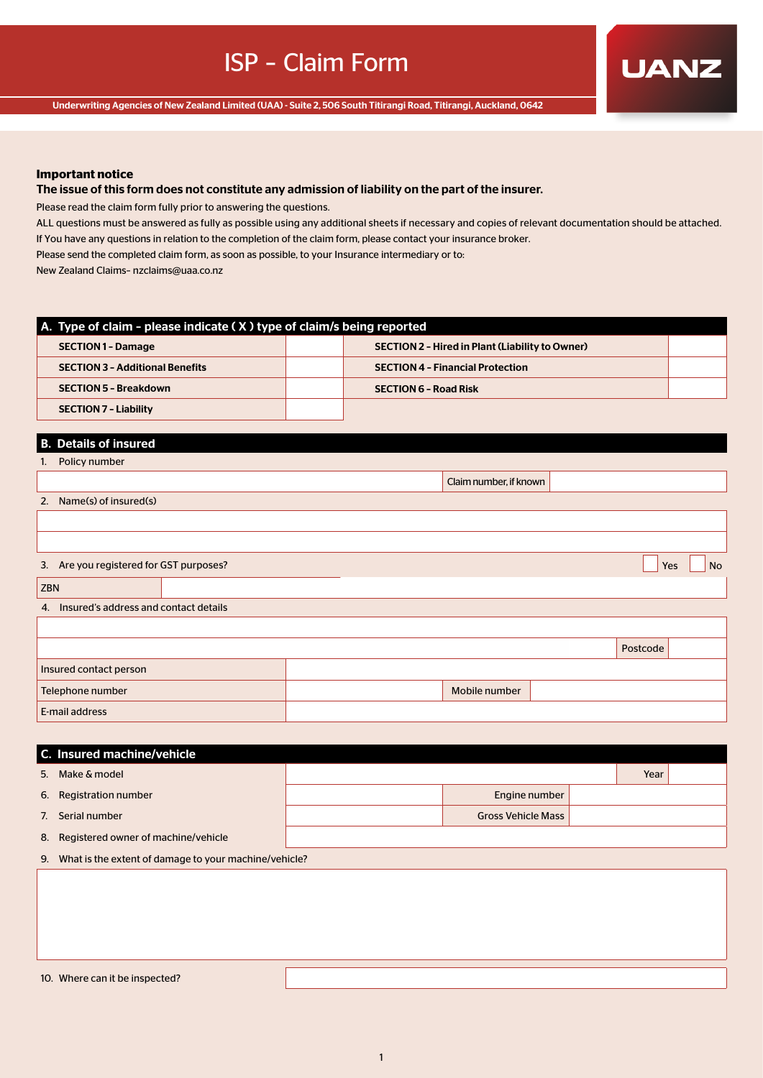**UANZ** 

Underwriting Agencies of New Zealand Limited (UAA) - Suite 2, 506 South Titirangi Road, Titirangi, Auckland, 0642

## **Important notice**

# The issue of this form does not constitute any admission of liability on the part of the insurer.

Please read the claim form fully prior to answering the questions.

ALL questions must be answered as fully as possible using any additional sheets if necessary and copies of relevant documentation should be attached. If You have any questions in relation to the completion of the claim form, please contact your insurance broker.

Please send the completed claim form, as soon as possible, to your Insurance intermediary or to:

New Zealand Claims– nzclaims@uaa.co.nz

| $\blacksquare$ A. Type of claim - please indicate (X) type of claim/s being reported |  |                                                        |  |  |  |  |  |  |
|--------------------------------------------------------------------------------------|--|--------------------------------------------------------|--|--|--|--|--|--|
| <b>SECTION 1 - Damage</b>                                                            |  | <b>SECTION 2 - Hired in Plant (Liability to Owner)</b> |  |  |  |  |  |  |
| <b>SECTION 3 - Additional Benefits</b>                                               |  | <b>SECTION 4 - Financial Protection</b>                |  |  |  |  |  |  |
| <b>SECTION 5 - Breakdown</b>                                                         |  | <b>SECTION 6 - Road Risk</b>                           |  |  |  |  |  |  |
| <b>SECTION 7 - Liability</b>                                                         |  |                                                        |  |  |  |  |  |  |

# B. Details of insured

| 1.  | Policy number                           |  |                        |          |     |           |
|-----|-----------------------------------------|--|------------------------|----------|-----|-----------|
|     |                                         |  | Claim number, if known |          |     |           |
| 2.  | Name(s) of insured(s)                   |  |                        |          |     |           |
|     |                                         |  |                        |          |     |           |
|     |                                         |  |                        |          |     |           |
|     | 3. Are you registered for GST purposes? |  |                        |          | Yes | <b>No</b> |
| ZBN |                                         |  |                        |          |     |           |
| 4.  | Insured's address and contact details   |  |                        |          |     |           |
|     |                                         |  |                        |          |     |           |
|     |                                         |  |                        | Postcode |     |           |
|     | Insured contact person                  |  |                        |          |     |           |
|     | Telephone number                        |  | Mobile number          |          |     |           |
|     | E-mail address                          |  |                        |          |     |           |

| C. Insured machine/vehicle             |  |                           |  |  |
|----------------------------------------|--|---------------------------|--|--|
| 5. Make & model                        |  | Year                      |  |  |
| 6. Registration number                 |  | Engine number             |  |  |
| 7. Serial number                       |  | <b>Gross Vehicle Mass</b> |  |  |
| 8. Registered owner of machine/vehicle |  |                           |  |  |

9. What is the extent of damage to your machine/vehicle?

10. Where can it be inspected?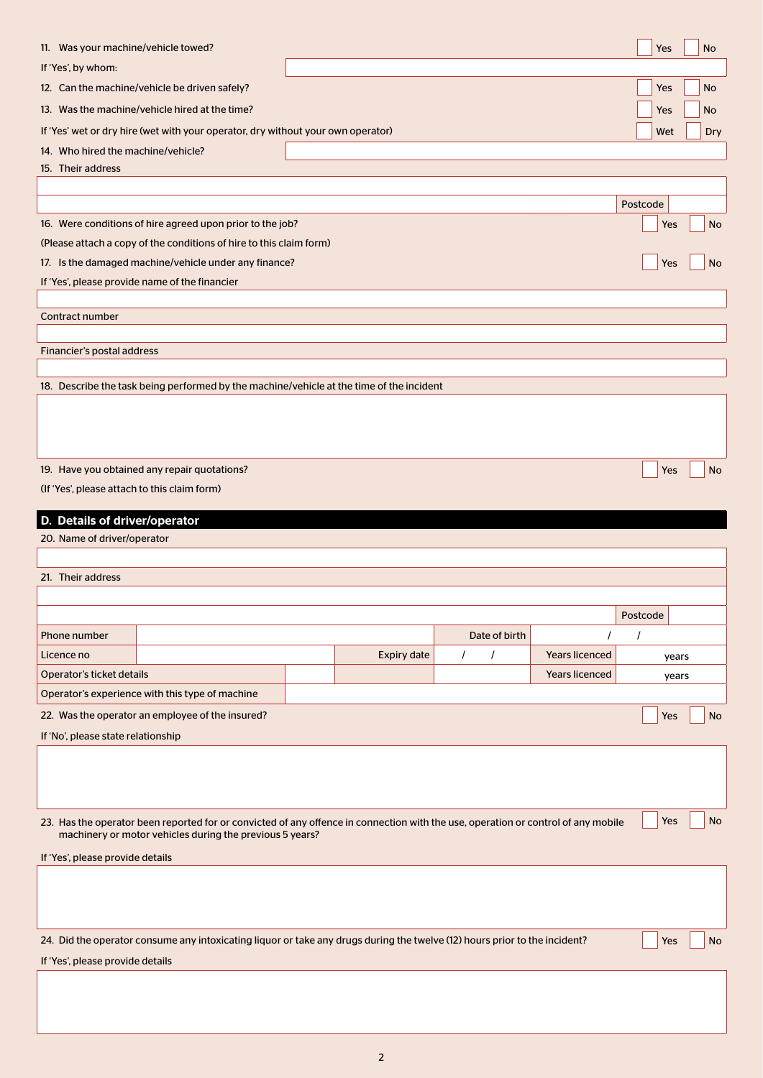| 11. Was your machine/vehicle towed?                          |                                                                                                                                   |                    |          |               |                       |          | Yes   | No        |
|--------------------------------------------------------------|-----------------------------------------------------------------------------------------------------------------------------------|--------------------|----------|---------------|-----------------------|----------|-------|-----------|
| If 'Yes', by whom:                                           |                                                                                                                                   |                    |          |               |                       |          |       |           |
|                                                              | 12. Can the machine/vehicle be driven safely?                                                                                     |                    |          |               |                       |          | Yes   | No        |
|                                                              | 13. Was the machine/vehicle hired at the time?                                                                                    |                    |          |               |                       |          | Yes   | No        |
|                                                              | If 'Yes' wet or dry hire (wet with your operator, dry without your own operator)                                                  |                    |          |               |                       |          | Wet   | Dry       |
| 14. Who hired the machine/vehicle?                           |                                                                                                                                   |                    |          |               |                       |          |       |           |
| 15. Their address                                            |                                                                                                                                   |                    |          |               |                       |          |       |           |
|                                                              |                                                                                                                                   |                    |          |               |                       |          |       |           |
|                                                              |                                                                                                                                   |                    |          |               |                       | Postcode |       |           |
|                                                              | 16. Were conditions of hire agreed upon prior to the job?                                                                         |                    |          |               |                       |          | Yes   | No        |
|                                                              | (Please attach a copy of the conditions of hire to this claim form)                                                               |                    |          |               |                       |          |       |           |
|                                                              | 17. Is the damaged machine/vehicle under any finance?                                                                             |                    |          |               |                       |          | Yes   | No        |
|                                                              | If 'Yes', please provide name of the financier                                                                                    |                    |          |               |                       |          |       |           |
| Contract number                                              |                                                                                                                                   |                    |          |               |                       |          |       |           |
|                                                              |                                                                                                                                   |                    |          |               |                       |          |       |           |
| <b>Financier's postal address</b>                            |                                                                                                                                   |                    |          |               |                       |          |       |           |
|                                                              |                                                                                                                                   |                    |          |               |                       |          |       |           |
|                                                              | 18. Describe the task being performed by the machine/vehicle at the time of the incident                                          |                    |          |               |                       |          |       |           |
|                                                              |                                                                                                                                   |                    |          |               |                       |          |       |           |
|                                                              |                                                                                                                                   |                    |          |               |                       |          |       |           |
|                                                              |                                                                                                                                   |                    |          |               |                       |          |       |           |
|                                                              | 19. Have you obtained any repair quotations?                                                                                      |                    |          |               |                       |          | Yes   | No        |
| (If 'Yes', please attach to this claim form)                 |                                                                                                                                   |                    |          |               |                       |          |       |           |
|                                                              |                                                                                                                                   |                    |          |               |                       |          |       |           |
| D. Details of driver/operator<br>20. Name of driver/operator |                                                                                                                                   |                    |          |               |                       |          |       |           |
|                                                              |                                                                                                                                   |                    |          |               |                       |          |       |           |
| 21. Their address                                            |                                                                                                                                   |                    |          |               |                       |          |       |           |
|                                                              |                                                                                                                                   |                    |          |               |                       |          |       |           |
|                                                              |                                                                                                                                   |                    |          |               |                       | Postcode |       |           |
| Phone number                                                 |                                                                                                                                   |                    |          | Date of birth |                       |          |       |           |
| Licence no                                                   |                                                                                                                                   | <b>Expiry date</b> | $\prime$ | $\prime$      | <b>Years licenced</b> |          | years |           |
| Operator's ticket details                                    |                                                                                                                                   |                    |          |               | <b>Years licenced</b> |          | years |           |
|                                                              | Operator's experience with this type of machine                                                                                   |                    |          |               |                       |          |       |           |
|                                                              | 22. Was the operator an employee of the insured?                                                                                  |                    |          |               |                       |          | Yes   | <b>No</b> |
| If 'No', please state relationship                           |                                                                                                                                   |                    |          |               |                       |          |       |           |
|                                                              |                                                                                                                                   |                    |          |               |                       |          |       |           |
|                                                              |                                                                                                                                   |                    |          |               |                       |          |       |           |
|                                                              |                                                                                                                                   |                    |          |               |                       |          |       |           |
|                                                              | 23. Has the operator been reported for or convicted of any offence in connection with the use, operation or control of any mobile |                    |          |               |                       |          | Yes   | No        |
|                                                              | machinery or motor vehicles during the previous 5 years?                                                                          |                    |          |               |                       |          |       |           |
| If 'Yes', please provide details                             |                                                                                                                                   |                    |          |               |                       |          |       |           |
|                                                              |                                                                                                                                   |                    |          |               |                       |          |       |           |
|                                                              |                                                                                                                                   |                    |          |               |                       |          |       |           |
|                                                              |                                                                                                                                   |                    |          |               |                       |          |       |           |
|                                                              | 24. Did the operator consume any intoxicating liquor or take any drugs during the twelve (12) hours prior to the incident?        |                    |          |               |                       |          | Yes   | No        |
| If 'Yes', please provide details                             |                                                                                                                                   |                    |          |               |                       |          |       |           |
|                                                              |                                                                                                                                   |                    |          |               |                       |          |       |           |
|                                                              |                                                                                                                                   |                    |          |               |                       |          |       |           |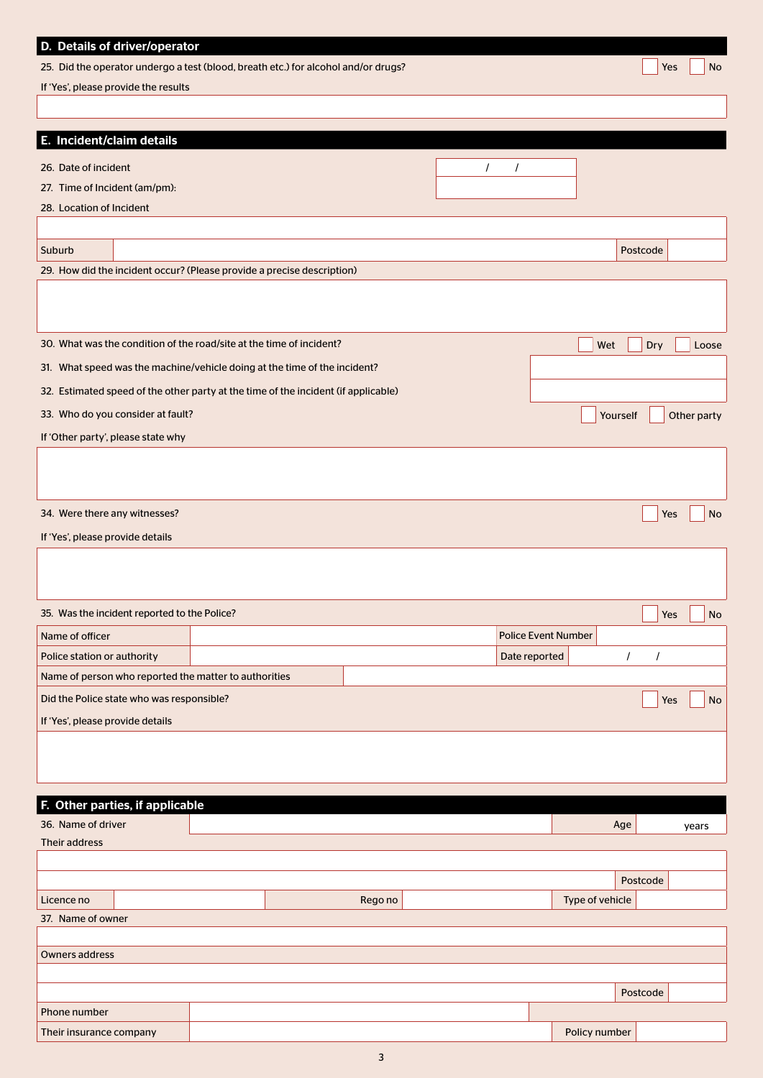| D. Details of driver/operator<br>25. Did the operator undergo a test (blood, breath etc.) for alcohol and/or drugs?<br>If 'Yes', please provide the results |  |         |          |                            |                 | Yes                  | No                   |
|-------------------------------------------------------------------------------------------------------------------------------------------------------------|--|---------|----------|----------------------------|-----------------|----------------------|----------------------|
|                                                                                                                                                             |  |         |          |                            |                 |                      |                      |
|                                                                                                                                                             |  |         |          |                            |                 |                      |                      |
| E. Incident/claim details                                                                                                                                   |  |         |          |                            |                 |                      |                      |
| 26. Date of incident                                                                                                                                        |  |         | $\prime$ | $\prime$                   |                 |                      |                      |
| 27. Time of Incident (am/pm):                                                                                                                               |  |         |          |                            |                 |                      |                      |
| 28. Location of Incident                                                                                                                                    |  |         |          |                            |                 |                      |                      |
| Suburb                                                                                                                                                      |  |         |          |                            |                 | Postcode             |                      |
| 29. How did the incident occur? (Please provide a precise description)                                                                                      |  |         |          |                            |                 |                      |                      |
|                                                                                                                                                             |  |         |          |                            |                 |                      |                      |
|                                                                                                                                                             |  |         |          |                            |                 |                      |                      |
| 30. What was the condition of the road/site at the time of incident?                                                                                        |  |         |          |                            | Wet             | Dry                  | Loose                |
| 31. What speed was the machine/vehicle doing at the time of the incident?                                                                                   |  |         |          |                            |                 |                      |                      |
| 32. Estimated speed of the other party at the time of the incident (if applicable)                                                                          |  |         |          |                            |                 |                      |                      |
| 33. Who do you consider at fault?                                                                                                                           |  |         |          |                            | Yourself        |                      | Other party          |
| If 'Other party', please state why                                                                                                                          |  |         |          |                            |                 |                      |                      |
|                                                                                                                                                             |  |         |          |                            |                 |                      |                      |
|                                                                                                                                                             |  |         |          |                            |                 |                      |                      |
| 34. Were there any witnesses?                                                                                                                               |  |         |          |                            |                 | Yes                  | No                   |
| If 'Yes', please provide details                                                                                                                            |  |         |          |                            |                 |                      |                      |
|                                                                                                                                                             |  |         |          |                            |                 |                      |                      |
|                                                                                                                                                             |  |         |          |                            |                 |                      |                      |
| 35. Was the incident reported to the Police?                                                                                                                |  |         |          |                            |                 |                      | $\Box$ Yes $\Box$ No |
| Name of officer                                                                                                                                             |  |         |          | <b>Police Event Number</b> |                 |                      |                      |
| Police station or authority                                                                                                                                 |  |         |          | Date reported              |                 | $\prime$<br>$\prime$ |                      |
| Name of person who reported the matter to authorities                                                                                                       |  |         |          |                            |                 |                      |                      |
| Did the Police state who was responsible?                                                                                                                   |  |         |          |                            |                 | Yes                  | No                   |
| If 'Yes', please provide details                                                                                                                            |  |         |          |                            |                 |                      |                      |
|                                                                                                                                                             |  |         |          |                            |                 |                      |                      |
|                                                                                                                                                             |  |         |          |                            |                 |                      |                      |
| Other parties, if applicable<br>F.                                                                                                                          |  |         |          |                            |                 |                      |                      |
| 36. Name of driver                                                                                                                                          |  |         |          |                            |                 | Age                  | years                |
| Their address                                                                                                                                               |  |         |          |                            |                 |                      |                      |
|                                                                                                                                                             |  |         |          |                            |                 |                      |                      |
|                                                                                                                                                             |  |         |          |                            |                 | Postcode             |                      |
| Licence no                                                                                                                                                  |  | Rego no |          |                            | Type of vehicle |                      |                      |
| 37. Name of owner                                                                                                                                           |  |         |          |                            |                 |                      |                      |
| <b>Owners address</b>                                                                                                                                       |  |         |          |                            |                 |                      |                      |
|                                                                                                                                                             |  |         |          |                            |                 |                      |                      |
|                                                                                                                                                             |  |         |          |                            |                 | Postcode             |                      |
| Phone number                                                                                                                                                |  |         |          |                            |                 |                      |                      |
| Their insurance company                                                                                                                                     |  |         |          |                            | Policy number   |                      |                      |